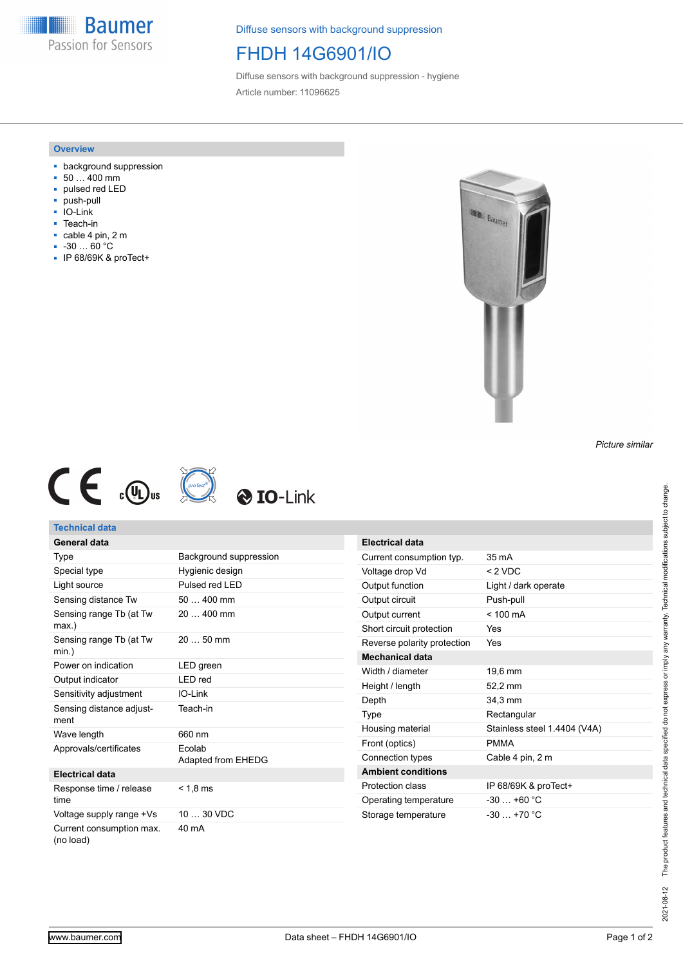**Baumer** Passion for Sensors

Diffuse sensors with background suppression

## FHDH 14G6901/IO

Diffuse sensors with background suppression - hygiene Article number: 11096625

### **Overview**

- background suppression
- 50 … 400 mm
- pulsed red LED
- push-pull
- IO-Link
- Teach-in
- cable 4 pin, 2 m
- -30 … 60 °C
- IP 68/69K & proTect+



*Picture similar*







## **Technical data**

#### **General data** Type Background suppression Special type Hygienic design Light source Pulsed red LED Sensing distance Tw 50 ... 400 mm Sensing range Tb (at Tw max.) 20 … 400 mm Sensing range Tb (at Tw min.) 20 … 50 mm Power on indication LED green Output indicator LED red Sensitivity adjustment IO-Link Sensing distance adjustment Teach-in Wave length 660 nm Approvals/certificates Ecolab Adapted from EHEDG **Electrical data** Response time / release time  $< 1, 8$  ms Voltage supply range +Vs 10 ... 30 VDC Current consumption max. (no load) 40 mA

| <b>Electrical data</b>      |                              |
|-----------------------------|------------------------------|
| Current consumption typ.    | $35 \text{ mA}$              |
| Voltage drop Vd             | $<$ 2 VDC                    |
| Output function             | Light / dark operate         |
| Output circuit              | Push-pull                    |
| Output current              | $< 100 \text{ mA}$           |
| Short circuit protection    | Yes                          |
| Reverse polarity protection | Yes                          |
| Mechanical data             |                              |
| Width / diameter            | 19.6 mm                      |
| Height / length             | 52,2 mm                      |
| Depth                       | 34,3 mm                      |
| Type                        | Rectangular                  |
| Housing material            | Stainless steel 1.4404 (V4A) |
| Front (optics)              | <b>PMMA</b>                  |
| Connection types            | Cable 4 pin, 2 m             |
| <b>Ambient conditions</b>   |                              |
| Protection class            | IP 68/69K & proTect+         |
| Operating temperature       | $-30+60$ °C                  |
| Storage temperature         | $-30 + 70$ °C                |